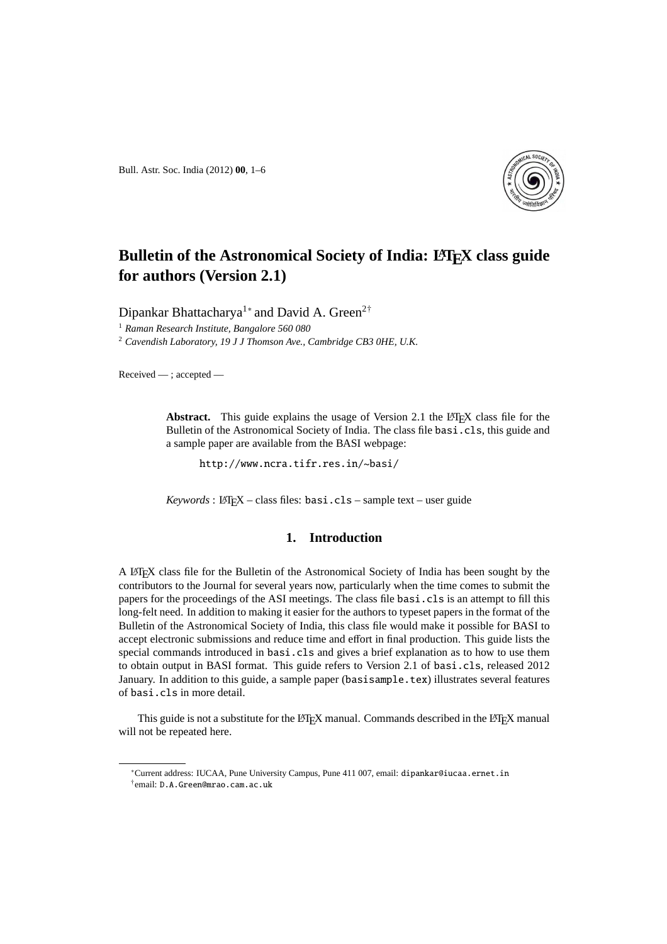Bull. Astr. Soc. India (2012) **00**, 1–6



# **Bulletin of the Astronomical Society of India: LATEX class guide for authors (Version 2.1)**

Dipankar Bhattacharya<sup>1</sup><sup>∗</sup> and David A. Green<sup>2†</sup>

<sup>1</sup> *Raman Research Institute, Bangalore 560 080*

<sup>2</sup> *Cavendish Laboratory, 19 J J Thomson Ave., Cambridge CB3 0HE, U.K.*

Received — ; accepted —

Abstract. This guide explains the usage of Version 2.1 the LAT<sub>EX</sub> class file for the Bulletin of the Astronomical Society of India. The class file basi.cls, this guide and a sample paper are available from the BASI webpage:

http://www.ncra.tifr.res.in/~basi/

 $Keywords: LFFX - class files: **basi.class - sample text - user guide**$ 

## **1. Introduction**

A LATEX class file for the Bulletin of the Astronomical Society of India has been sought by the contributors to the Journal for several years now, particularly when the time comes to submit the papers for the proceedings of the ASI meetings. The class file basi.cls is an attempt to fill this long-felt need. In addition to making it easier for the authors to typeset papers in the format of the Bulletin of the Astronomical Society of India, this class file would make it possible for BASI to accept electronic submissions and reduce time and effort in final production. This guide lists the special commands introduced in basi.cls and gives a brief explanation as to how to use them to obtain output in BASI format. This guide refers to Version 2.1 of basi.cls, released 2012 January. In addition to this guide, a sample paper (basisample.tex) illustrates several features of basi.cls in more detail.

This guide is not a substitute for the LATEX manual. Commands described in the LATEX manual will not be repeated here.

<sup>∗</sup>Current address: IUCAA, Pune University Campus, Pune 411 007, email: dipankar@iucaa.ernet.in † email: D.A.Green@mrao.cam.ac.uk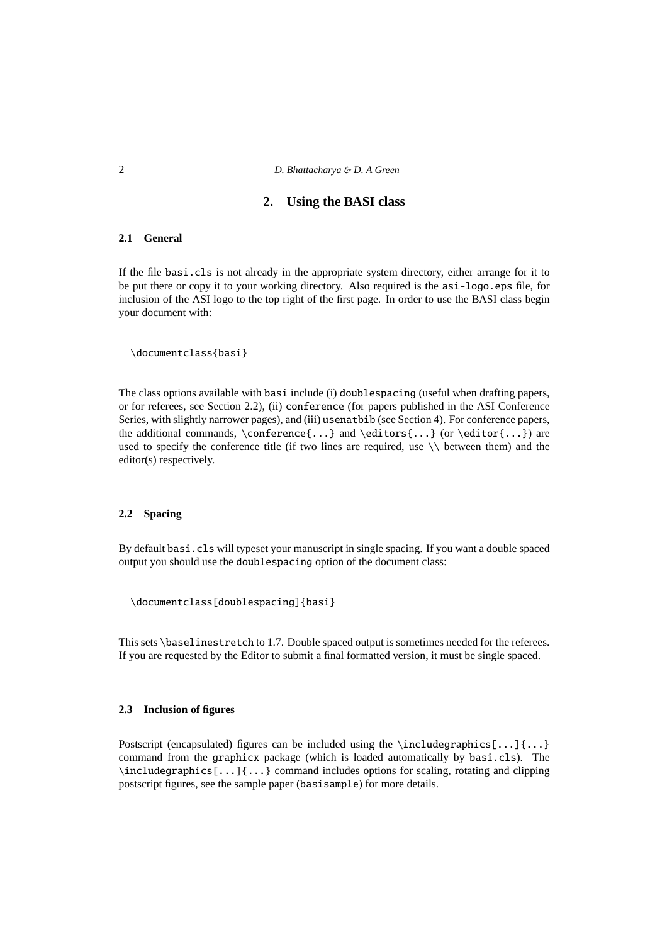## 2 *D. Bhattacharya* & *D. A Green*

## **2. Using the BASI class**

#### **2.1 General**

If the file basi.cls is not already in the appropriate system directory, either arrange for it to be put there or copy it to your working directory. Also required is the asi-logo.eps file, for inclusion of the ASI logo to the top right of the first page. In order to use the BASI class begin your document with:

\documentclass{basi}

The class options available with basi include (i) doublespacing (useful when drafting papers, or for referees, see Section 2.2), (ii) conference (for papers published in the ASI Conference Series, with slightly narrower pages), and (iii) usenatbib (see Section 4). For conference papers, the additional commands,  $\centerdot{...}$  and  $\editors{...}$  (or  $\editor{...}$ ) are used to specify the conference title (if two lines are required, use  $\setminus \}$  between them) and the editor(s) respectively.

#### **2.2 Spacing**

By default basi.cls will typeset your manuscript in single spacing. If you want a double spaced output you should use the doublespacing option of the document class:

\documentclass[doublespacing]{basi}

This sets \baselinestretch to 1.7. Double spaced output is sometimes needed for the referees. If you are requested by the Editor to submit a final formatted version, it must be single spaced.

#### **2.3 Inclusion of figures**

Postscript (encapsulated) figures can be included using the \includegraphics[...]{...} command from the graphicx package (which is loaded automatically by basi.cls). The  $\int\left\{\ldots\right\}$  command includes options for scaling, rotating and clipping postscript figures, see the sample paper (basisample) for more details.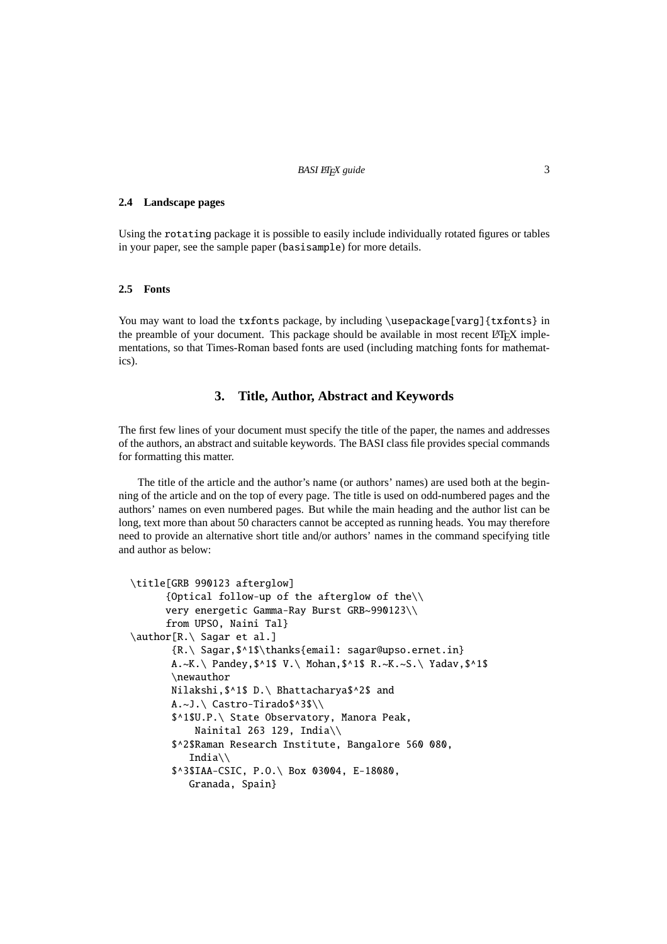### **2.4 Landscape pages**

Using the rotating package it is possible to easily include individually rotated figures or tables in your paper, see the sample paper (basisample) for more details.

#### **2.5 Fonts**

You may want to load the txfonts package, by including \usepackage[varg]{txfonts} in the preamble of your document. This package should be available in most recent LATEX implementations, so that Times-Roman based fonts are used (including matching fonts for mathematics).

## **3. Title, Author, Abstract and Keywords**

The first few lines of your document must specify the title of the paper, the names and addresses of the authors, an abstract and suitable keywords. The BASI class file provides special commands for formatting this matter.

The title of the article and the author's name (or authors' names) are used both at the beginning of the article and on the top of every page. The title is used on odd-numbered pages and the authors' names on even numbered pages. But while the main heading and the author list can be long, text more than about 50 characters cannot be accepted as running heads. You may therefore need to provide an alternative short title and/or authors' names in the command specifying title and author as below:

```
\title[GRB 990123 afterglow]
      {Optical follow-up of the afterglow of the\\
      very energetic Gamma-Ray Burst GRB~990123\\
      from UPSO, Naini Tal}
\author[R.\ Sagar et al.]
       {R.\ Sagar,$^1$\thanks{email: sagar@upso.ernet.in}
       A.~K.\ Pandey,$^1$ V.\ Mohan,$^1$ R.~K.~S.\ Yadav,$^1$
       \newauthor
       Nilakshi,$^1$ D.\ Bhattacharya$^2$ and
       A.~J.\ Castro-Tirado$^3$\\
       $^1$U.P.\ State Observatory, Manora Peak,
           Nainital 263 129, India\\
       $^2$Raman Research Institute, Bangalore 560 080,
          India\\
       $^3$IAA-CSIC, P.O.\ Box 03004, E-18080,
          Granada, Spain}
```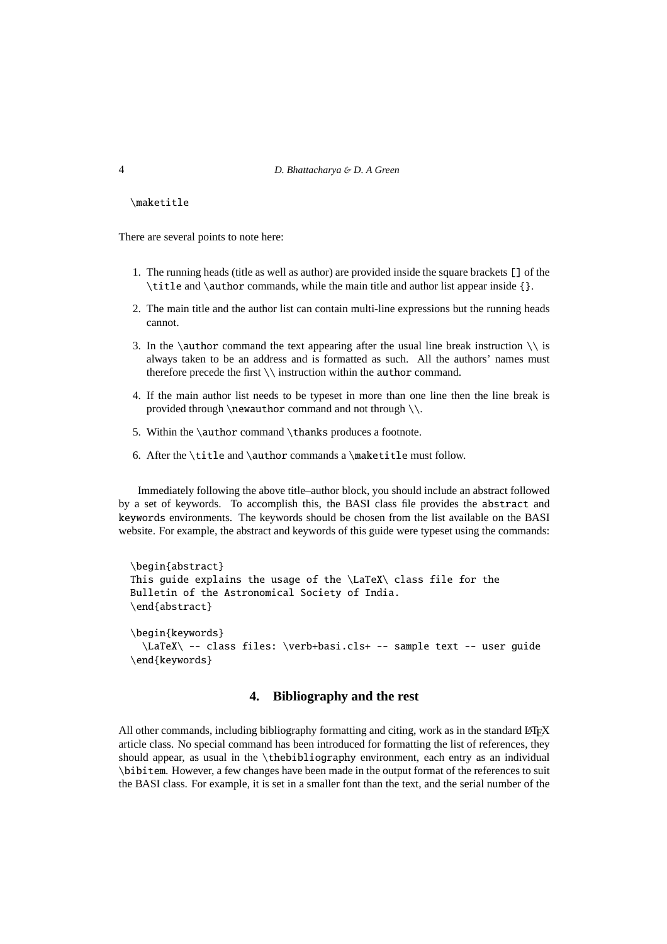#### 4 *D. Bhattacharya* & *D. A Green*

\maketitle

There are several points to note here:

- 1. The running heads (title as well as author) are provided inside the square brackets [] of the \title and \author commands, while the main title and author list appear inside {}.
- 2. The main title and the author list can contain multi-line expressions but the running heads cannot.
- 3. In the \author command the text appearing after the usual line break instruction  $\setminus \$ is always taken to be an address and is formatted as such. All the authors' names must therefore precede the first \\ instruction within the author command.
- 4. If the main author list needs to be typeset in more than one line then the line break is provided through \newauthor command and not through \\.
- 5. Within the \author command \thanks produces a footnote.
- 6. After the \title and \author commands a \maketitle must follow.

Immediately following the above title–author block, you should include an abstract followed by a set of keywords. To accomplish this, the BASI class file provides the abstract and keywords environments. The keywords should be chosen from the list available on the BASI website. For example, the abstract and keywords of this guide were typeset using the commands:

```
\begin{abstract}
This guide explains the usage of the \LaTeX\ class file for the
Bulletin of the Astronomical Society of India.
\end{abstract}
\begin{keywords}
  \LaTeX\ -- class files: \verb+basi.cls+ -- sample text -- user guide
\end{keywords}
```
## **4. Bibliography and the rest**

All other commands, including bibliography formatting and citing, work as in the standard  $E$ FEX article class. No special command has been introduced for formatting the list of references, they should appear, as usual in the \thebibliography environment, each entry as an individual \bibitem. However, a few changes have been made in the output format of the references to suit the BASI class. For example, it is set in a smaller font than the text, and the serial number of the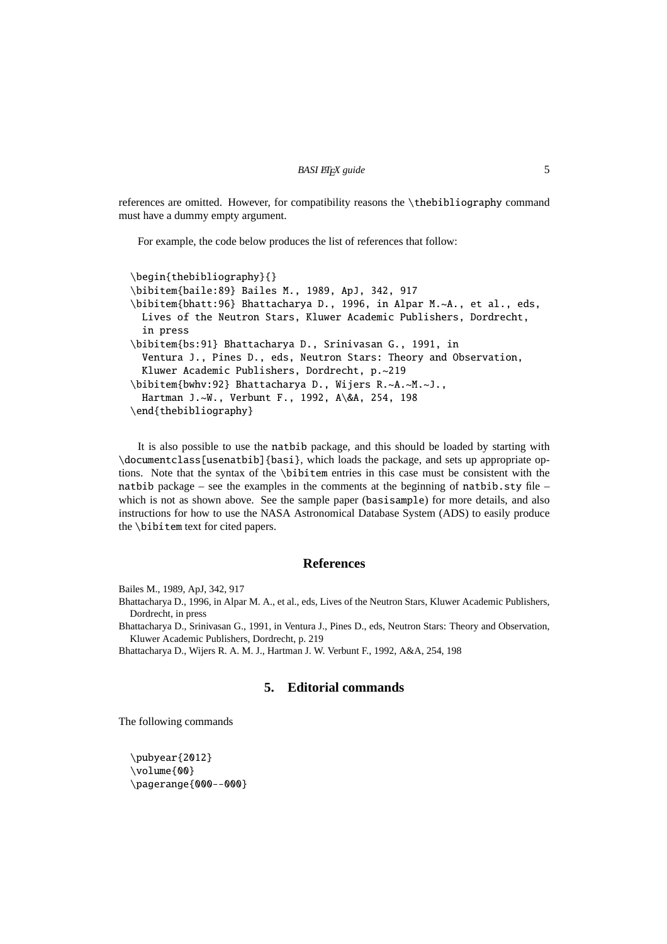references are omitted. However, for compatibility reasons the \thebibliography command must have a dummy empty argument.

For example, the code below produces the list of references that follow:

```
\begin{thebibliography}{}
\bibitem{baile:89} Bailes M., 1989, ApJ, 342, 917
\bibitem{bhatt:96} Bhattacharya D., 1996, in Alpar M.~A., et al., eds,
 Lives of the Neutron Stars, Kluwer Academic Publishers, Dordrecht,
  in press
\bibitem{bs:91} Bhattacharya D., Srinivasan G., 1991, in
  Ventura J., Pines D., eds, Neutron Stars: Theory and Observation,
  Kluwer Academic Publishers, Dordrecht, p.~219
\bibitem{bwhv:92} Bhattacharya D., Wijers R.~A.~M.~J.,
  Hartman J.~W., Verbunt F., 1992, A\&A, 254, 198
\end{thebibliography}
```
It is also possible to use the natbib package, and this should be loaded by starting with \documentclass[usenatbib]{basi}, which loads the package, and sets up appropriate options. Note that the syntax of the \bibitem entries in this case must be consistent with the natbib package – see the examples in the comments at the beginning of natbib.sty file – which is not as shown above. See the sample paper (basis ample) for more details, and also instructions for how to use the NASA Astronomical Database System (ADS) to easily produce the \bibitem text for cited papers.

## **References**

Bailes M., 1989, ApJ, 342, 917

Bhattacharya D., 1996, in Alpar M. A., et al., eds, Lives of the Neutron Stars, Kluwer Academic Publishers, Dordrecht, in press

Bhattacharya D., Srinivasan G., 1991, in Ventura J., Pines D., eds, Neutron Stars: Theory and Observation, Kluwer Academic Publishers, Dordrecht, p. 219

Bhattacharya D., Wijers R. A. M. J., Hartman J. W. Verbunt F., 1992, A&A, 254, 198

## **5. Editorial commands**

The following commands

\pubvear{2012} \volume{00} \pagerange{000--000}